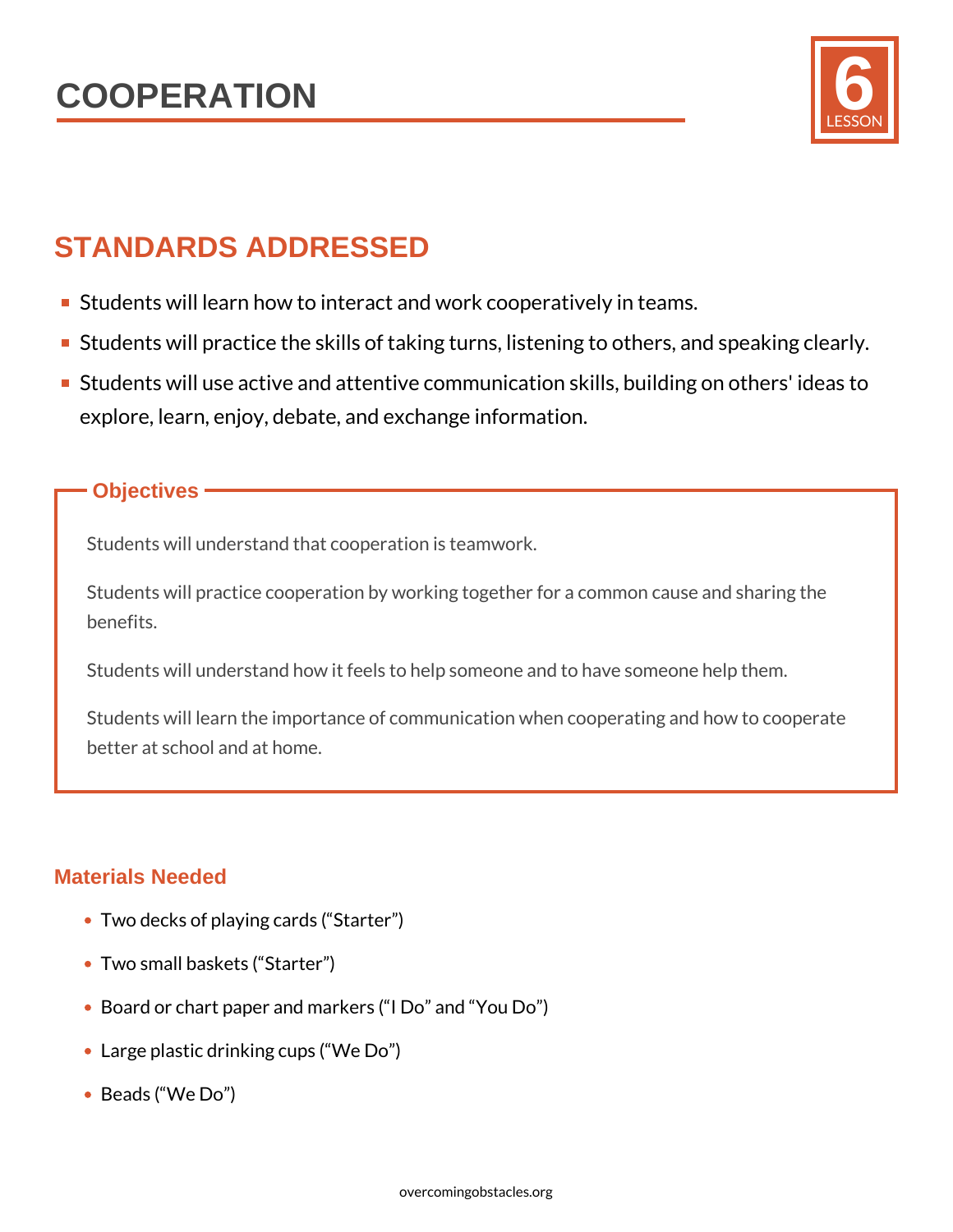

## STANDARDS ADDRESSED

- **Students will learn how to interact and work cooperatively**
- Students will practice the skills of taking turns, listening
- **S**tudents will use active and attentive communication skill explore, learn, enjoy, debate, and exchange information.

## Objectives

Students will understand that cooperation is teamwork.

Students will practice cooperation by working together for a com benefits.

Students will understand how it feels to help someone and to have

Students will learn the importance of communication when coope better at school and at home.

## Materials Needed

- Two decks of playing cards ( Starter )
- Two small baskets ( Starter )
- Board or chart paper and markers ( I Do and You Do )
- Large plastic drinking cups ( We Do )
- Beads ( We Do )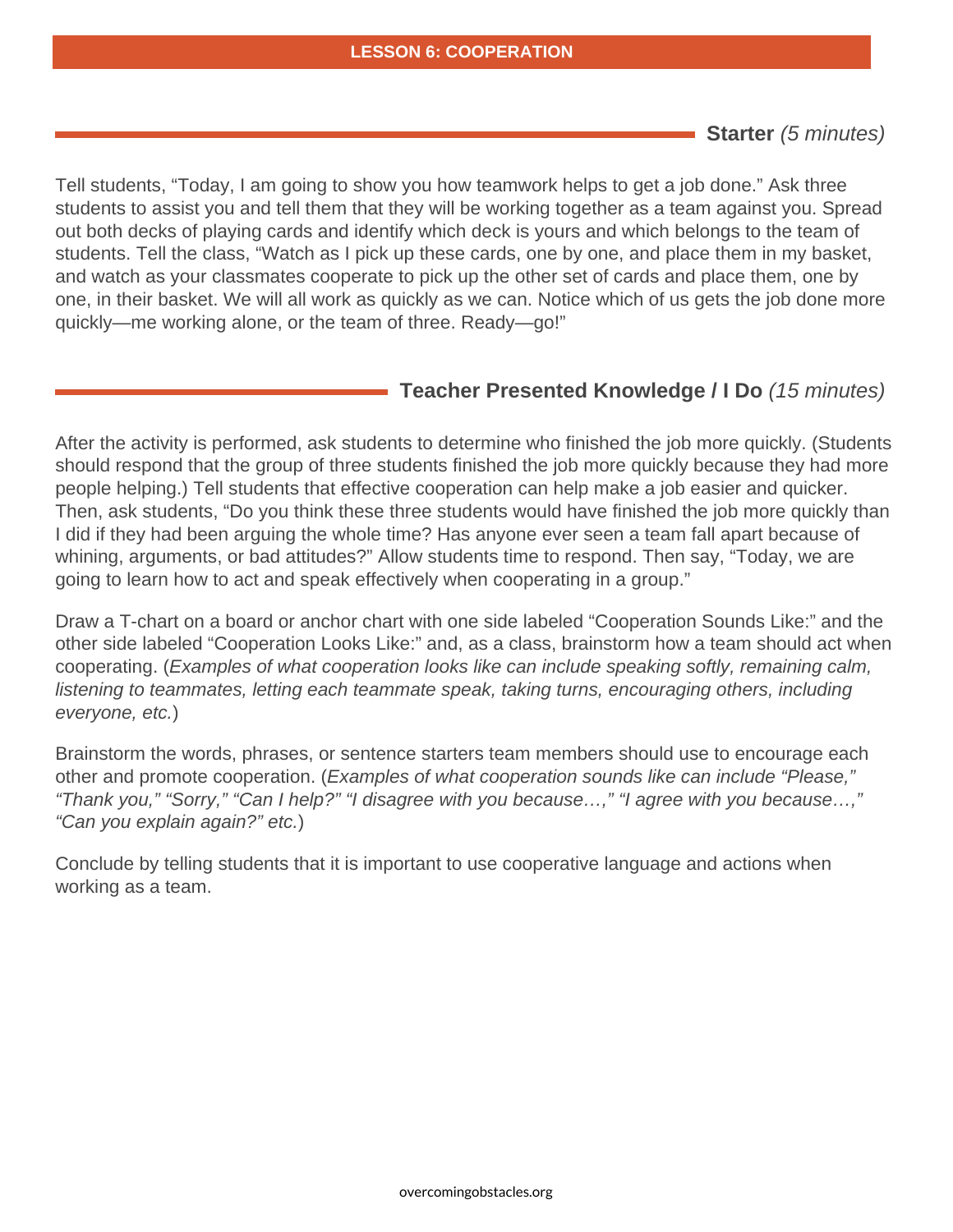Starter (5 minutes)

Tell students, "Today, I am going to show you how teamwork helps to get a job done." Ask three students to assist you and tell them that they will be working together as a team against you. Spread out both decks of playing cards and identify which deck is yours and which belongs to the team of students. Tell the class, "Watch as I pick up these cards, one by one, and place them in my basket, and watch as your classmates cooperate to pick up the other set of cards and place them, one by one, in their basket. We will all work as quickly as we can. Notice which of us gets the job done more quickly—me working alone, or the team of three. Ready—go!"

Teacher Presented Knowledge / I Do (15 minutes)

After the activity is performed, ask students to determine who finished the job more quickly. (Students should respond that the group of three students finished the job more quickly because they had more people helping.) Tell students that effective cooperation can help make a job easier and quicker. Then, ask students, "Do you think these three students would have finished the job more quickly than I did if they had been arguing the whole time? Has anyone ever seen a team fall apart because of whining, arguments, or bad attitudes?" Allow students time to respond. Then say, "Today, we are going to learn how to act and speak effectively when cooperating in a group."

Draw a T-chart on a board or anchor chart with one side labeled "Cooperation Sounds Like:" and the other side labeled "Cooperation Looks Like:" and, as a class, brainstorm how a team should act when cooperating. (Examples of what cooperation looks like can include speaking softly, remaining calm, listening to teammates, letting each teammate speak, taking turns, encouraging others, including everyone, etc.)

Brainstorm the words, phrases, or sentence starters team members should use to encourage each other and promote cooperation. (Examples of what cooperation sounds like can include "Please," "Thank you," "Sorry," "Can I help?" "I disagree with you because…," "I agree with you because…," "Can you explain again?" etc.)

Conclude by telling students that it is important to use cooperative language and actions when working as a team.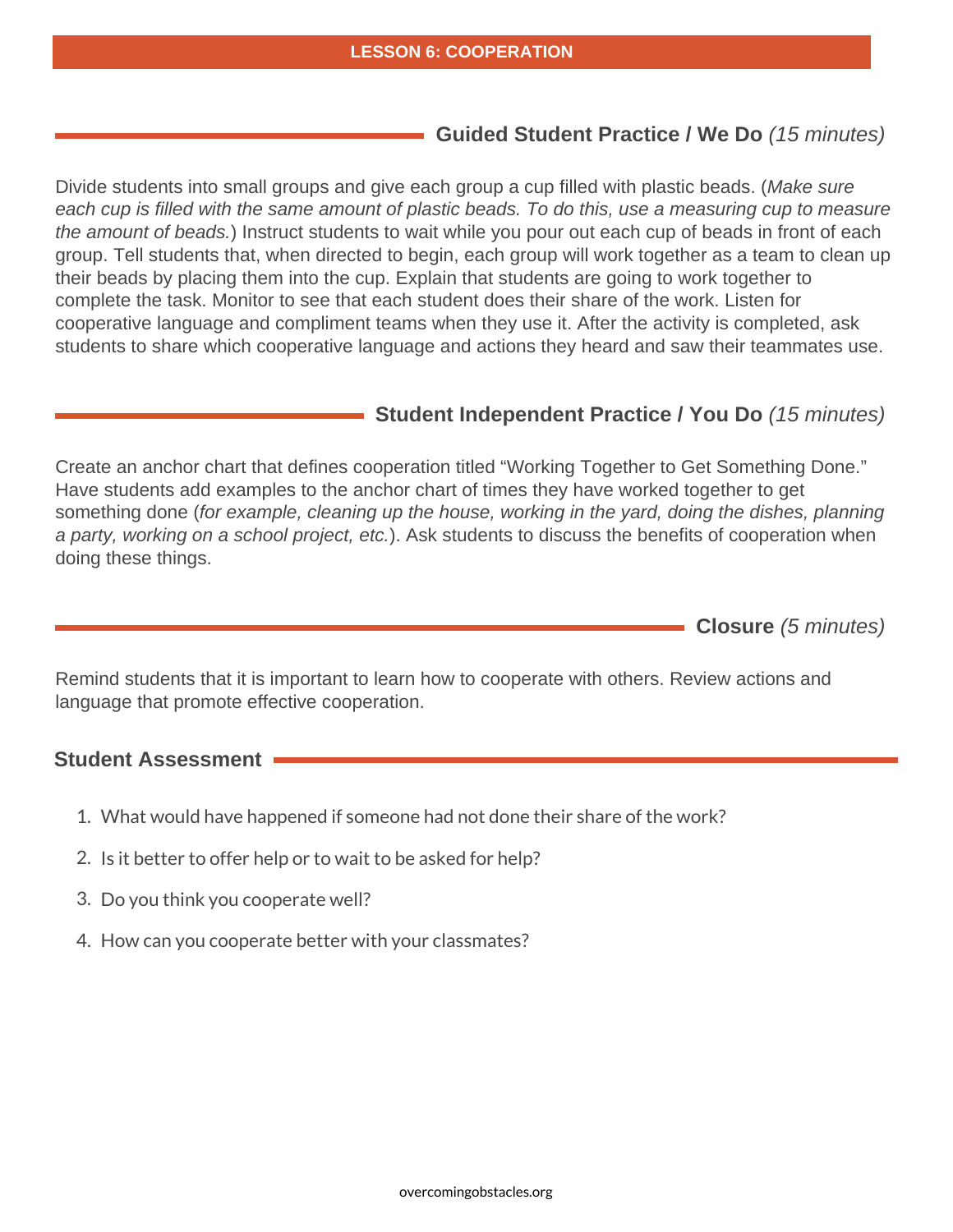Guided Student Practice / We Do (15 minutes)

Divide students into small groups and give each group a cup filled with plastic beads. (Make sure each cup is filled with the same amount of plastic beads. To do this, use a measuring cup to measure the amount of beads.) Instruct students to wait while you pour out each cup of beads in front of each group. Tell students that, when directed to begin, each group will work together as a team to clean up their beads by placing them into the cup. Explain that students are going to work together to complete the task. Monitor to see that each student does their share of the work. Listen for cooperative language and compliment teams when they use it. After the activity is completed, ask students to share which cooperative language and actions they heard and saw their teammates use.

Student Independent Practice / You Do (15 minutes)

Create an anchor chart that defines cooperation titled "Working Together to Get Something Done." Have students add examples to the anchor chart of times they have worked together to get something done (for example, cleaning up the house, working in the yard, doing the dishes, planning a party, working on a school project, etc.). Ask students to discuss the benefits of cooperation when doing these things.

Closure (5 minutes)

Remind students that it is important to learn how to cooperate with others. Review actions and language that promote effective cooperation.

Student Assessment

1. What would have happened if someone had not done their share

2.Is it better to offer help or to wait to be asked for help?

3.Do you think you cooperate well?

4.How can you cooperate better with your classmates?